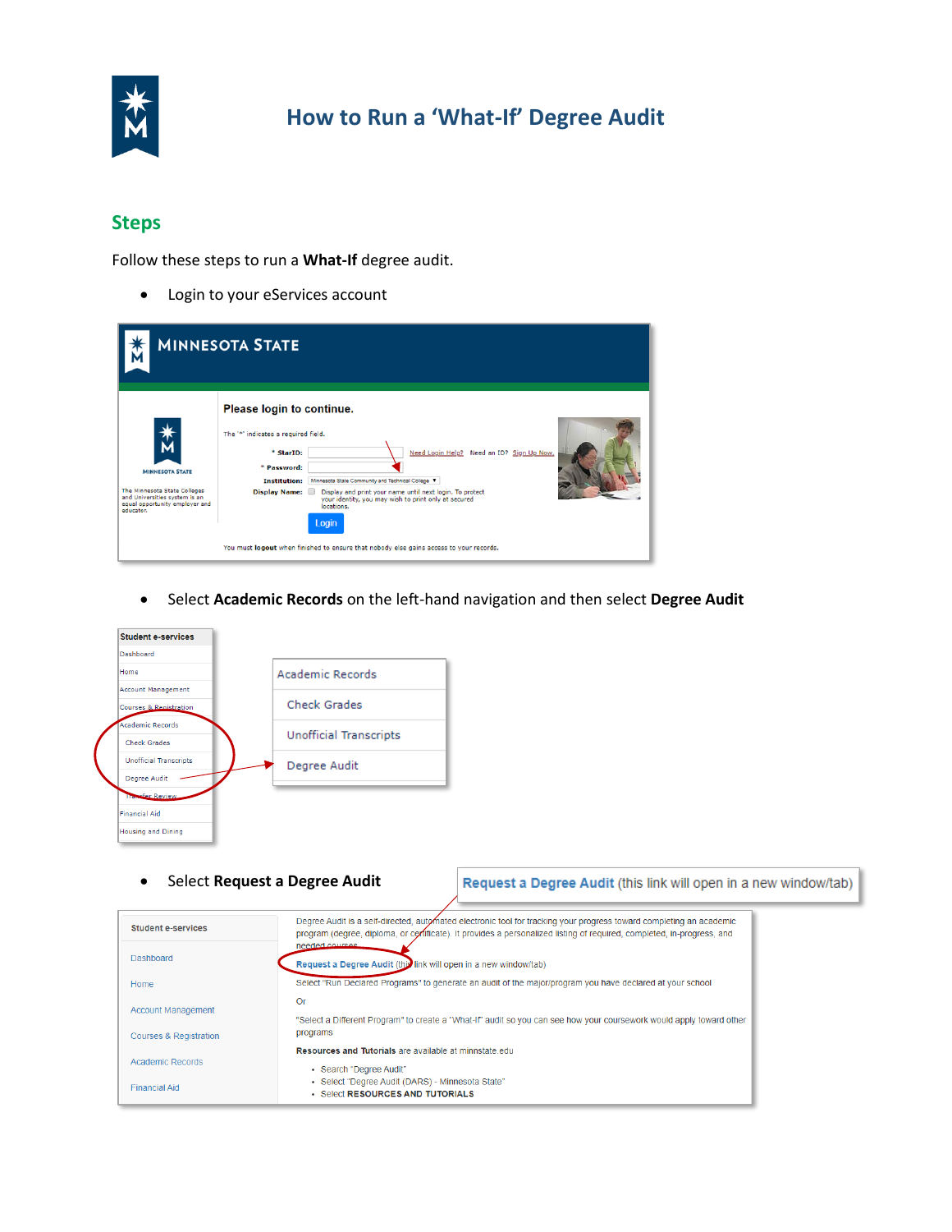

## **How to Run a 'What-If' Degree Audit**

## **Steps**

Follow these steps to run a **What-If** degree audit.

• Login to your eServices account

|                                                                                                                                        | <b>MINNESOTA STATE</b>                                                                                                                                                                                                                                                                                                                                                                                                                                                      |
|----------------------------------------------------------------------------------------------------------------------------------------|-----------------------------------------------------------------------------------------------------------------------------------------------------------------------------------------------------------------------------------------------------------------------------------------------------------------------------------------------------------------------------------------------------------------------------------------------------------------------------|
| <b>MINNESOTA STATE</b><br>The Minnesota State Colleges<br>and Universities system is an<br>equal opportunity employer and<br>educator. | Please login to continue.<br>The '*' indicates a required field.<br>Need Login Help? Need an ID? Sign Up Now.<br>* StarID:<br>* Password:<br>Minnesota State Community and Technical College V<br><b>Institution:</b><br>Display Name:<br>Display and print your name until next login. To protect<br>your identity, you may wish to print only at secured<br>locations.<br>Login<br>You must logout when finished to ensure that nobody else gains access to your records. |

• Select **Academic Records** on the left-hand navigation and then select **Degree Audit**



• Select **Request a Degree Audit**

## Request a Degree Audit (this link will open in a new window/tab)

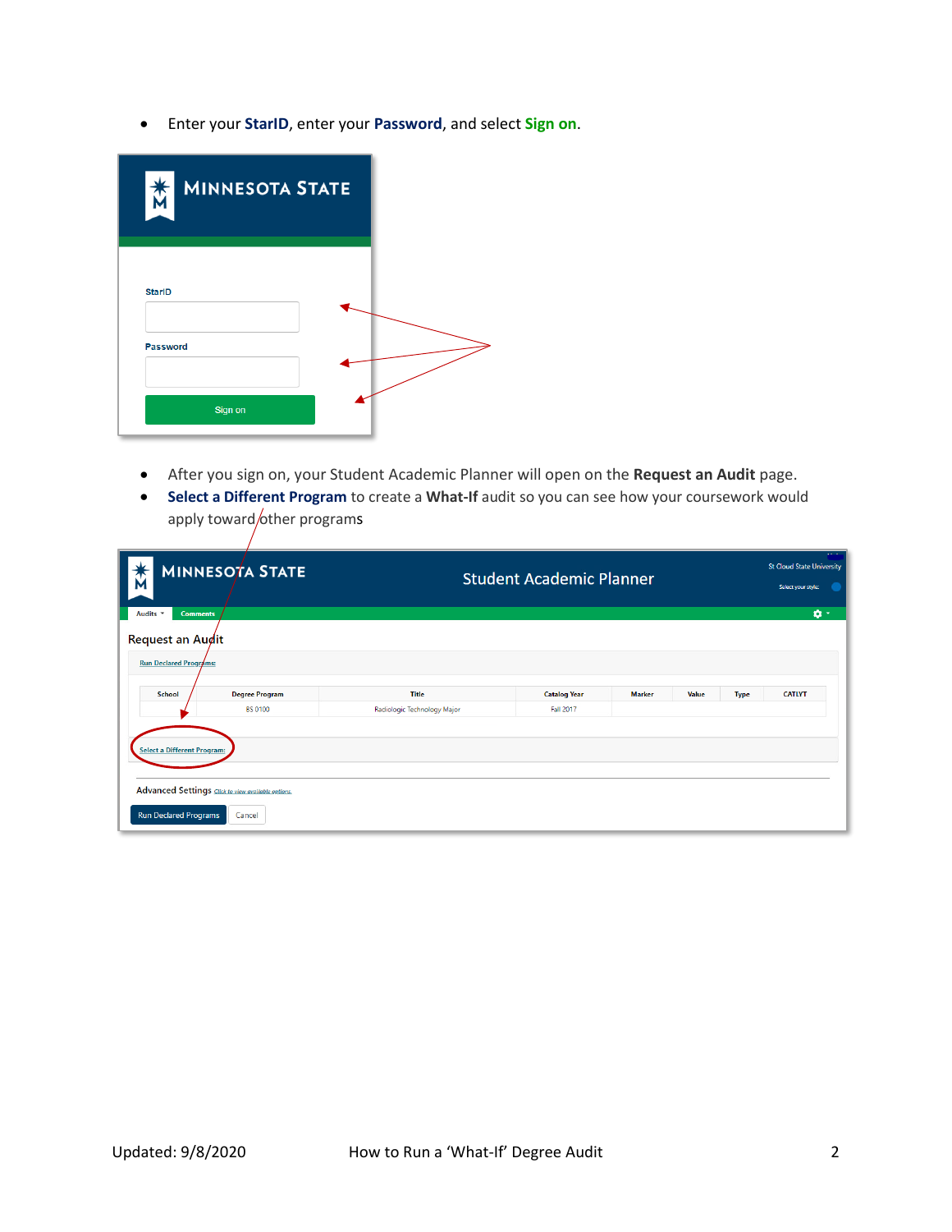• Enter your **StarID**, enter your **Password**, and select **Sign on**.

| 大<br><b>MINNESOTA STATE</b> |  |
|-----------------------------|--|
| <b>StarID</b>               |  |
| Password<br>Sign on         |  |

- After you sign on, your Student Academic Planner will open on the **Request an Audit** page.
- **Select a Different Program** to create a **What-If** audit so you can see how your coursework would apply toward/other programs

| Ñ                                                                  | <b>MINNESOTA STATE</b>                                               |                             | <b>Student Academic Planner</b> |               |       |             | $\alpha$ , $\alpha$ , $\alpha$<br><b>St Cloud State University</b><br>Select your style: |
|--------------------------------------------------------------------|----------------------------------------------------------------------|-----------------------------|---------------------------------|---------------|-------|-------------|------------------------------------------------------------------------------------------|
| Audits *<br><b>Comments</b>                                        |                                                                      |                             |                                 |               |       |             | ø-                                                                                       |
| <b>Request an Augit</b>                                            |                                                                      |                             |                                 |               |       |             |                                                                                          |
| <b>Run Declared Programs:</b>                                      |                                                                      |                             |                                 |               |       |             |                                                                                          |
|                                                                    |                                                                      |                             |                                 |               |       |             |                                                                                          |
| <b>School</b>                                                      | <b>Degree Program</b>                                                | <b>Title</b>                | <b>Catalog Year</b>             | <b>Marker</b> | Value | <b>Type</b> | <b>CATLYT</b>                                                                            |
|                                                                    | <b>BS 0100</b>                                                       | Radiologic Technology Major | Fall 2017                       |               |       |             |                                                                                          |
| <b>Select a Different Program:</b><br><b>Run Declared Programs</b> | Advanced Settings <b>Click to view available options</b> .<br>Cancel |                             |                                 |               |       |             |                                                                                          |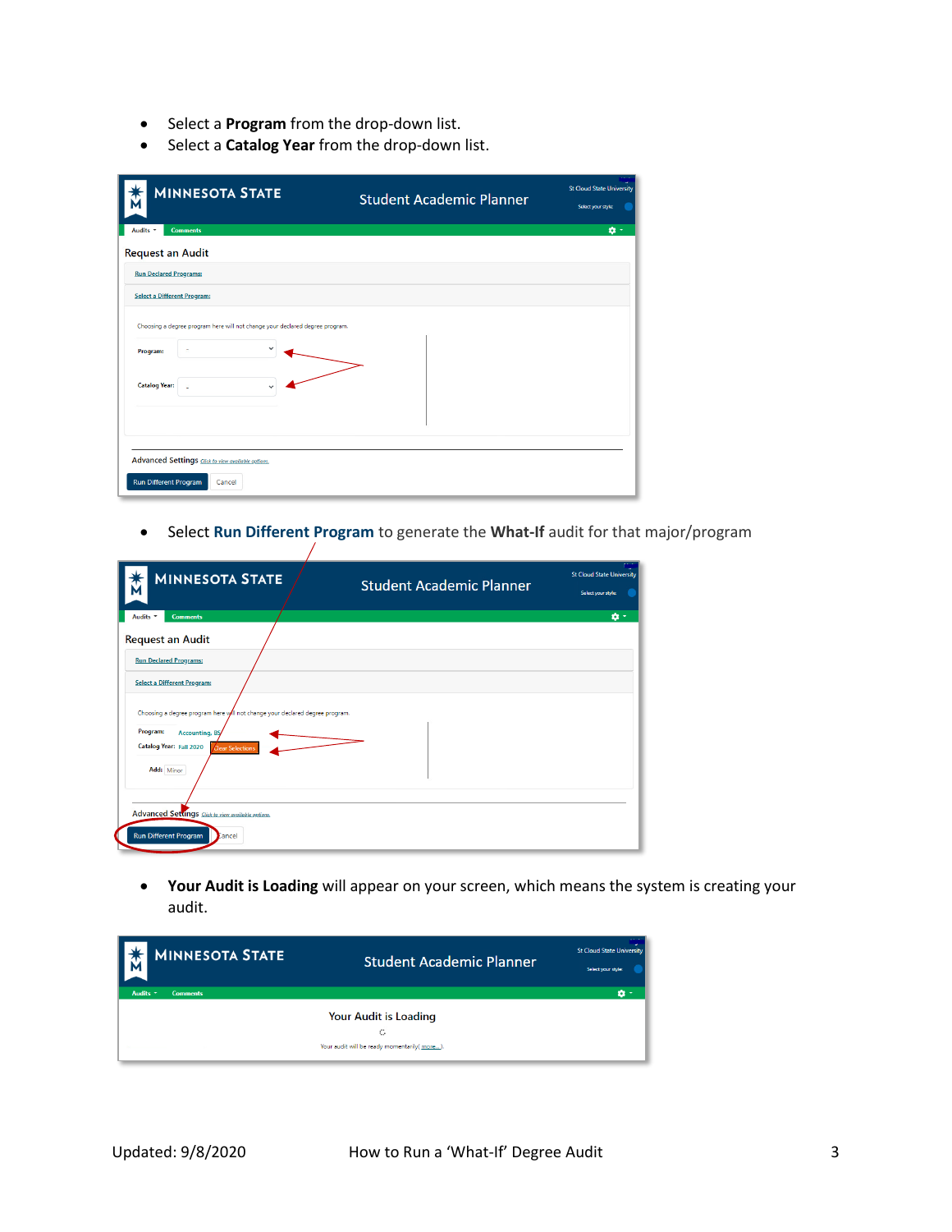- Select a **Program** from the drop-down list.
- Select a **Catalog Year** from the drop-down list.

 $\bigg)$ 

| <b>MINNESOTA STATE</b>                                                                   | <b>Student Academic Planner</b> | <b>St Cloud State University</b><br>Select your style: |
|------------------------------------------------------------------------------------------|---------------------------------|--------------------------------------------------------|
| Audits *<br><b>Comments</b>                                                              |                                 | ø۰                                                     |
| <b>Request an Audit</b>                                                                  |                                 |                                                        |
| <b>Run Declared Programs:</b>                                                            |                                 |                                                        |
| <b>Select a Different Program:</b>                                                       |                                 |                                                        |
| Choosing a degree program here will not change your declared degree program.<br>Program: |                                 |                                                        |
| <b>Catalog Year:</b>                                                                     |                                 |                                                        |
|                                                                                          |                                 |                                                        |
| Advanced Settings Click to view available options.<br>Run Different Program<br>Cancel    |                                 |                                                        |

• Select **Run Different Program** to generate the **What-If** audit for that major/program

| <b>MINNESOTA STATE</b>                                                       | <b>Student Academic Planner</b> | <b>St Cloud State University</b><br>Select your style: |
|------------------------------------------------------------------------------|---------------------------------|--------------------------------------------------------|
| Audits -<br><b>Comments</b>                                                  |                                 | ø٠                                                     |
| <b>Request an Audit</b>                                                      |                                 |                                                        |
| <b>Run Declared Programs:</b>                                                |                                 |                                                        |
| <b>Select a Different Program:</b>                                           |                                 |                                                        |
| Choosing a degree program here will not change your declared degree program. |                                 |                                                        |
| Program:<br><b>Accounting, BS</b><br>Catalog Year: Fall 2020                 |                                 |                                                        |
| <b>Clear Selections</b><br>Add: Minor                                        |                                 |                                                        |
|                                                                              |                                 |                                                        |
| Advanced Settings Click to view available options.                           |                                 |                                                        |
| <b>Run Different Program</b><br>Cancel                                       |                                 |                                                        |

• **Your Audit is Loading** will appear on your screen, which means the system is creating your audit.